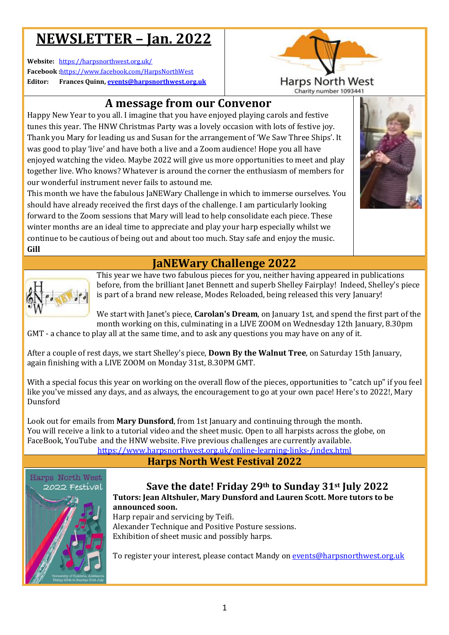# **NEWSLETTER – Jan n. 2022**

**Website:** https://harpsnorthwest.org.uk/ **Facebook :**https://www.facebook.com/HarpsNorthWest **Editor: Frances Quinn, events@harpsnorthwest.org.uk**



# **A message from our Convenor Convenor**

Happy New Year to you all. I imagine that you have enjoyed playing carols and festive tunes this year. The HNW Christmas Party was a lovely occasion with lots of festive joy. Thank you Mary for leading us and Susan for the arrangement of 'We Saw Three Ships'. It was good to play 'live' and have both a live and a Zoom audience! Hope you all have enjoyed watching the video. Maybe 2022 will give us more opportunities to meet and play together live. Who knows? Whatever is around the corner the enthusiasm of members for our wonderful instrument never fails to astound me.

This month we have the fabulous JaNEWary Challenge in which to immerse ourselves. You should have already received the first days of the challenge. I am particularly looking forward to the Zoom sessions that Mary will lead to help consolidate each piece. These winter months are an ideal time to appreciate and play your harp especially whilst we continue to be cautious of being out and about too much. Stay safe and enjoy the music. **Gill**  bund the corner the enthusiasm of members for<br>tound me.<br>The Condlenge in which to immerse ourselves. You<br>of the challenge. I am particularly looking<br>ill lead to help consolidate each piece. These<br>ate and play your harp esp



## **JaNEWary Challenge 2022**



This year we have two fabulous pieces for you, neither having appeared in publications before, from the brilliant Janet Bennett and superb Shelley Fairplay! Indeed, Shelley's piece is part of a brand new release, Modes Reloaded, being released this very January!

We start with Janet's piece, **Carolan's Dream**, on January 1st, and spend the first part of the month working on this, culminating in a LIVE ZOOM on Wednesday 12th January, 8.30pm

GMT - a chance to play all at the same time, and to ask any questions you may have on any of it.

After a couple of rest days, we start Shelley's piece, **Down By the Walnut Tree**, on Saturday 15th January, again finishing with a LIVE ZOOM on Monday 31st, 8.30PM GMT.

With a special focus this year on working on the overall flow of the pieces, opportunities to "catch up" if you feel like you've missed any days, and as always, the encouragement to go at your own pace! Here's to 2022!, Mary Dunsford

Look out for emails from **Mary Dunsford** , from 1st January and continuing through the month. You will receive a link to a tutorial video and the sheet music. Open to all harpists across the globe, on FaceBook, YouTube and the HNW website. Five previous challenges are currently available. <u>https://www.harpsnorthwest.org.uk/online-learning-links-/index.html</u>

**Harps North West Festival 2022**



### **Save the date! Friday 29 th to Sunday 31 st July 2022 Tutors: Jean Altshuler, Mary Dunsford and Lauren Scott. More tutors to be**

**announced soon.**  Harp repair and servicing by Teifi. Alexander Technique and Positive Posture sessions. Exhibition of sheet music and possibly harps.

To register your interest, please contact Mandy on <u>events@harpsnorthwest.org.uk</u>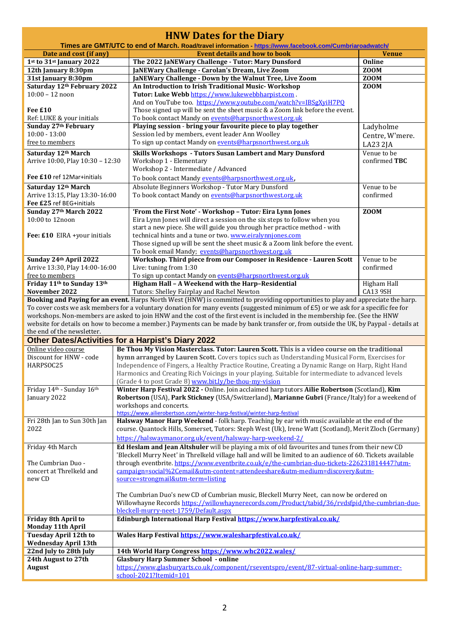| <b>HNW Dates for the Diary</b>                                                                                                   |                                                                                                                                                                                                              |                            |  |  |
|----------------------------------------------------------------------------------------------------------------------------------|--------------------------------------------------------------------------------------------------------------------------------------------------------------------------------------------------------------|----------------------------|--|--|
| Times are GMT/UTC to end of March. Road/travel information - https://www.facebook.com/Cumbriaroadwatch/                          |                                                                                                                                                                                                              |                            |  |  |
| Date and cost (if any)                                                                                                           | <b>Event details and how to book</b>                                                                                                                                                                         | <b>Venue</b>               |  |  |
| 1st to 31st January 2022                                                                                                         | The 2022 JaNEWary Challenge - Tutor: Mary Dunsford                                                                                                                                                           | <b>Online</b>              |  |  |
| 12th January 8:30pm                                                                                                              | JaNEWary Challenge - Carolan's Dream, Live Zoom                                                                                                                                                              | <b>ZOOM</b>                |  |  |
| 31st January 8:30pm<br>Saturday 12th February 2022                                                                               | JaNEWary Challenge - Down by the Walnut Tree, Live Zoom<br>An Introduction to Irish Traditional Music-Workshop                                                                                               | <b>ZOOM</b><br><b>ZOOM</b> |  |  |
| $10:00 - 12$ noon                                                                                                                | Tutor: Luke Webb https://www.lukewebbharpist.com.                                                                                                                                                            |                            |  |  |
|                                                                                                                                  | And on YouTube too. https://www.youtube.com/watch?v=IBSgXyiH7PQ                                                                                                                                              |                            |  |  |
| Fee £10                                                                                                                          | Those signed up will be sent the sheet music & a Zoom link before the event.                                                                                                                                 |                            |  |  |
| Ref: LUKE & your initials                                                                                                        | To book contact Mandy on events@harpsnorthwest.org.uk                                                                                                                                                        |                            |  |  |
| Sunday 27th February                                                                                                             | Playing session - bring your favourite piece to play together                                                                                                                                                | Ladyholme                  |  |  |
| $10:00 - 13:00$                                                                                                                  | Session led by members, event leader Ann Woolley                                                                                                                                                             | Centre, W'mere.            |  |  |
| free to members                                                                                                                  | To sign up contact Mandy on events@harpsnorthwest.org.uk                                                                                                                                                     | LA23 2JA                   |  |  |
| Saturday 12th March                                                                                                              | Skills Workshops - Tutors Susan Lambert and Mary Dunsford                                                                                                                                                    | Venue to be                |  |  |
| Arrive 10:00, Play 10:30 - 12:30                                                                                                 | Workshop 1 - Elementary                                                                                                                                                                                      | confirmed TBC              |  |  |
|                                                                                                                                  | Workshop 2 - Intermediate / Advanced                                                                                                                                                                         |                            |  |  |
| Fee £10 ref 12Mar+initials                                                                                                       | To book contact Mandy events@harpsnorthwest.org.uk,                                                                                                                                                          |                            |  |  |
| Saturday 12th March                                                                                                              | Absolute Beginners Workshop - Tutor Mary Dunsford                                                                                                                                                            | Venue to be                |  |  |
| Arrive 13:15, Play 13:30-16:00                                                                                                   | To book contact Mandy on events@harpsnorthwest.org.uk                                                                                                                                                        | confirmed                  |  |  |
| Fee £25 ref BEG+initials                                                                                                         |                                                                                                                                                                                                              |                            |  |  |
| Sunday 27th March 2022                                                                                                           | 'From the First Note' - Workshop - Tutor: Eira Lynn Jones                                                                                                                                                    | ZOOM                       |  |  |
| 10:00 to 12noon                                                                                                                  | Eira Lynn Jones will direct a session on the six steps to follow when you                                                                                                                                    |                            |  |  |
|                                                                                                                                  | start a new piece. She will guide you through her practice method - with                                                                                                                                     |                            |  |  |
| Fee: £10 EIRA +your initials                                                                                                     | technical hints and a tune or two. www.eiralynniones.com<br>Those signed up will be sent the sheet music & a Zoom link before the event.                                                                     |                            |  |  |
|                                                                                                                                  | To book email Mandy; events@harpsnorthwest.org.uk                                                                                                                                                            |                            |  |  |
| Sunday 24th April 2022                                                                                                           | Workshop. Third piece from our Composer in Residence - Lauren Scott                                                                                                                                          | Venue to be                |  |  |
| Arrive 13:30, Play 14:00-16:00                                                                                                   | Live: tuning from 1:30                                                                                                                                                                                       | confirmed                  |  |  |
| free to members                                                                                                                  | To sign up contact Mandy on events@harpsnorthwest.org.uk                                                                                                                                                     |                            |  |  |
| Friday 11th to Sunday 13th                                                                                                       | Higham Hall - A Weekend with the Harp-Residential                                                                                                                                                            | Higham Hall                |  |  |
| November 2022                                                                                                                    | Tutors: Shelley Fairplay and Rachel Newton                                                                                                                                                                   | <b>CA13 9SH</b>            |  |  |
| Booking and Paying for an event. Harps North West (HNW) is committed to providing opportunities to play and appreciate the harp. |                                                                                                                                                                                                              |                            |  |  |
|                                                                                                                                  | To cover costs we ask members for a voluntary donation for many events (suggested minimum of £5) or we ask for a specific fee for                                                                            |                            |  |  |
|                                                                                                                                  | workshops. Non-members are asked to join HNW and the cost of the first event is included in the membership fee. (See the HNW                                                                                 |                            |  |  |
| the end of the newsletter.                                                                                                       | website for details on how to become a member.) Payments can be made by bank transfer or, from outside the UK, by Paypal - details at                                                                        |                            |  |  |
|                                                                                                                                  | <b>Other Dates/Activities for a Harpist's Diary 2022</b>                                                                                                                                                     |                            |  |  |
| Online video course                                                                                                              | Be Thou My Vision Masterclass. Tutor: Lauren Scott. This is a video course on the traditional                                                                                                                |                            |  |  |
| Discount for HNW - code                                                                                                          | hymn arranged by Lauren Scott. Covers topics such as Understanding Musical Form, Exercises for                                                                                                               |                            |  |  |
| HARPSOC25                                                                                                                        | Independence of Fingers, a Healthy Practice Routine, Creating a Dynamic Range on Harp, Right Hand                                                                                                            |                            |  |  |
|                                                                                                                                  | Harmonics and Creating Rich Voicings in your playing. Suitable for intermediate to advanced levels                                                                                                           |                            |  |  |
|                                                                                                                                  | (Grade 4 to post Grade 8) www.bit.ly/be-thou-my-vision                                                                                                                                                       |                            |  |  |
| Friday 14th - Sunday 16th                                                                                                        | Winter Harp Festival 2022 - Online. Join acclaimed harp tutors Ailie Robertson (Scotland), Kim                                                                                                               |                            |  |  |
| January 2022                                                                                                                     | Robertson (USA), Park Stickney (USA/Switzerland), Marianne Gubri (France/Italy) for a weekend of                                                                                                             |                            |  |  |
|                                                                                                                                  | workshops and concerts.                                                                                                                                                                                      |                            |  |  |
|                                                                                                                                  | https://www.ailierobertson.com/winter-harp-festival/winter-harp-festival                                                                                                                                     |                            |  |  |
| Fri 28th Jan to Sun 30th Jan<br>2022                                                                                             | Halsway Manor Harp Weekend - folk harp. Teaching by ear with music available at the end of the<br>course. Quantock Hills, Somerset, Tutors: Steph West (Uk), Irene Watt (Scotland), Merit Zloch (Germany)    |                            |  |  |
|                                                                                                                                  |                                                                                                                                                                                                              |                            |  |  |
|                                                                                                                                  | https://halswaymanor.org.uk/event/halsway-harp-weekend-2/                                                                                                                                                    |                            |  |  |
| Friday 4th March                                                                                                                 | Ed Heslam and Jean Altshuler will be playing a mix of old favourites and tunes from their new CD                                                                                                             |                            |  |  |
| The Cumbrian Duo -                                                                                                               | 'Bleckell Murry Neet' in Threlkeld village hall and will be limited to an audience of 60. Tickets available<br>through eventbrite. https://www.eventbrite.co.uk/e/the-cumbrian-duo-tickets-226231814447?utm- |                            |  |  |
| concert at Threlkeld and                                                                                                         | campaign=social%2Cemail&utm-content=attendeeshare&utm-medium=discovery&utm-                                                                                                                                  |                            |  |  |
| new CD                                                                                                                           | source=strongmail&utm-term=listing                                                                                                                                                                           |                            |  |  |
|                                                                                                                                  |                                                                                                                                                                                                              |                            |  |  |
|                                                                                                                                  | The Cumbrian Duo's new CD of Cumbrian music, Bleckell Murry Neet, can now be ordered on                                                                                                                      |                            |  |  |
|                                                                                                                                  | Willowhayne Records https://willowhaynerecords.com/Product/tabid/36/rvdsfpid/the-cumbrian-duo-                                                                                                               |                            |  |  |
|                                                                                                                                  | bleckell-murry-neet-1759/Default.aspx                                                                                                                                                                        |                            |  |  |
| Friday 8th April to                                                                                                              | Edinburgh International Harp Festival https://www.harpfestival.co.uk/                                                                                                                                        |                            |  |  |
| <b>Monday 11th April</b>                                                                                                         |                                                                                                                                                                                                              |                            |  |  |
| <b>Tuesday April 12th to</b>                                                                                                     | Wales Harp Festival https://www.walesharpfestival.co.uk/                                                                                                                                                     |                            |  |  |
| <b>Wednesday April 13th</b><br>22nd July to 28th July                                                                            | 14th World Harp Congress https://www.whc2022.wales/                                                                                                                                                          |                            |  |  |
| 24th August to 27th                                                                                                              | <b>Glasbury Harp Summer School - online</b>                                                                                                                                                                  |                            |  |  |
| <b>August</b>                                                                                                                    | https://www.glasburyarts.co.uk/component/rseventspro/event/87-virtual-online-harp-summer-                                                                                                                    |                            |  |  |
|                                                                                                                                  | school-2021?Itemid=101                                                                                                                                                                                       |                            |  |  |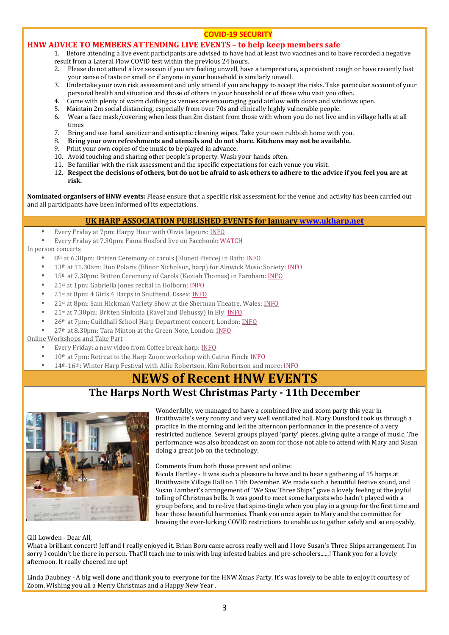### **COVID-19 SECURITY**

## **HNW ADVICE TO MEMBERS ATTENDING LIVE EVENTS – to help keep members safe**

1. Before attending a live event participants are advised to have had at least two vaccines and to have recorded a negative result from a Lateral Flow COVID test within the previous 24 hours.

- 2. Please do not attend a live session if you are feeling unwell, have a temperature, a persistent cough or have recently lost your sense of taste or smell or if anyone in your household is similarly unwell.
- 3. Undertake your own risk assessment and only attend if you are happy to accept the risks. Take particular account of your personal health and situation and those of others in your household or of those who visit you often.
- 4. Come with plenty of warm clothing as venues are encouraging good airflow with doors and windows open.
- 5. Maintain 2m social distancing, especially from over 70s and clinically highly vulnerable people.
- 6. Wear a face mask/covering when less than 2m distant from those with whom you do not live and in village halls at all times
- 7. Bring and use hand sanitizer and antiseptic cleaning wipes. Take your own rubbish home with you.
- 8. **Bring your own refreshments and utensils and do not share. Kitchens may not be available.**
- 9. Print your own copies of the music to be played in advance.
- 10. Avoid touching and sharing other people's property. Wash your hands often.
- 11. Be familiar with the risk assessment and the specific expectations for each venue you visit.
- 12. **Respect the decisions of others, but do not be afraid to ask others to adhere to the advice if you feel you are at risk.**

**Nominated organisers of HNW events:** Please ensure that a specific risk assessment for the venue and activity has been carried out and all participants have been informed of its expectations.

## **UK HARP ASSOCIATION PUBLISHED EVENTS for January www.ukharp.net**

- Every Friday at 7pm: Harpy Hour with Olivia Jageurs: INFO
- Every Friday at 7.30pm: Fiona Hosford live on Facebook: WATCH

In person concerts

- 8<sup>th</sup> at 6.30pm: Britten Ceremony of carols (Eluned Pierce) in Bath: INFO
- 13th at 11.30am: Duo Polaris (Elinor Nicholson, harp) for Alnwick Music Society: INFO
- 15<sup>th</sup> at 7.30pm: Britten Ceremony of Carols (Keziah Thomas) in Farnham: INFO
- 21st at 1pm: Gabriella Jones recital in Holborn: INFO
- 21st at 8pm: 4 Girls 4 Harps in Southend, Essex: INFO
- 21st at 8pm: Sam Hickman Variety Show at the Sherman Theatre, Wales: INFO
- 21st at 7.30pm: Britten Sinfonia (Ravel and Debussy) in Ely: INFO
- 26th at 7pm: Guildhall School Harp Department concert, London: INFO
- 27th at 8.30pm: Tara Minton at the Green Note, London: INFO

Online Workshops and Take Part

- Every Friday: a new video from Coffee break harp: INFO
- 10<sup>th</sup> at 7pm: Retreat to the Harp Zoom workshop with Catrin Finch: INFO
- 14th-16th: Winter Harp Festival with Ailie Robertson, Kim Robertson and more: INFO

# **NEWS of Recent HNW EVENTS**

## **The Harps North West Christmas Party - 11th December**



Wonderfully, we managed to have a combined live and zoom party this year in Braithwaite's very roomy and very well ventilated hall. Mary Dunsford took us through a practice in the morning and led the afternoon performance in the presence of a very restricted audience. Several groups played 'party' pieces, giving quite a range of music. The performance was also broadcast on zoom for those not able to attend with Mary and Susan doing a great job on the technology.

Comments from both those present and online:

Nicola Hartley - It was such a pleasure to have and to hear a gathering of 15 harps at Braithwaite Village Hall on 11th December. We made such a beautiful festive sound, and Susan Lambert's arrangement of "We Saw Three Ships" gave a lovely feeling of the joyful tolling of Christmas bells. It was good to meet some harpists who hadn't played with a group before, and to re-live that spine-tingle when you play in a group for the first time and hear those beautiful harmonies. Thank you once again to Mary and the committee for braving the ever-lurking COVID restrictions to enable us to gather safely and so enjoyably.

#### Gill Lowden - Dear All,

What a brilliant concert! Jeff and I really enjoyed it. Brian Boru came across really well and I love Susan's Three Ships arrangement. I'm sorry I couldn't be there in person. That'll teach me to mix with bug infested babies and pre-schoolers......! Thank you for a lovely afternoon. It really cheered me up!

Linda Daubney - A big well done and thank you to everyone for the HNW Xmas Party. It's was lovely to be able to enjoy it courtesy of Zoom. Wishing you all a Merry Christmas and a Happy New Year .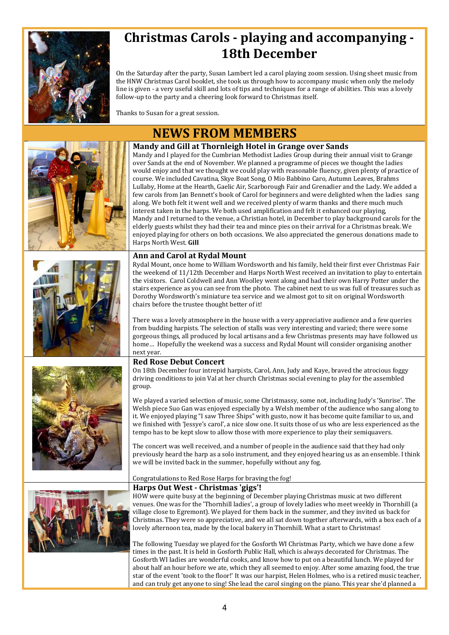

# **Christmas Carols - playing and accompanying - 18th December**

On the Saturday after the party, Susan Lambert led a carol playing zoom session. Using sheet music from the HNW Christmas Carol booklet, she took us through how to accompany music when only the melody line is given - a very useful skill and lots of tips and techniques for a range of abilities. This was a lovely follow-up to the party and a cheering look forward to Christmas itself.

Thanks to Susan for a great session.

# **NEWS FROM MEMBERS**









### **Mandy and Gill at Thornleigh Hotel in Grange over Sands**

Mandy and I played for the Cumbrian Methodist Ladies Group during their annual visit to Grange over Sands at the end of November. We planned a programme of pieces we thought the ladies would enjoy and that we thought we could play with reasonable fluency, given plenty of practice of course. We included Cavatina, Skye Boat Song, O Mio Babbino Caro, Autumn Leaves, Brahms Lullaby, Home at the Hearth, Gaelic Air, Scarborough Fair and Grenadier and the Lady. We added a few carols from Jan Bennett's book of Carol for beginners and were delighted when the ladies sang along. We both felt it went well and we received plenty of warm thanks and there much much interest taken in the harps. We both used amplification and felt it enhanced our playing, Mandy and I returned to the venue, a Christian hotel, in December to play background carols for the elderly guests whilst they had their tea and mince pies on their arrival for a Christmas break. We enjoyed playing for others on both occasions. We also appreciated the generous donations made to Harps North West. **Gill** 

### **Ann and Carol at Rydal Mount**

Rydal Mount, once home to William Wordsworth and his family, held their first ever Christmas Fair the weekend of 11/12th December and Harps North West received an invitation to play to entertain the visitors. Carol Coldwell and Ann Woolley went along and had their own Harry Potter under the stairs experience as you can see from the photo. The cabinet next to us was full of treasures such as Dorothy Wordsworth's miniature tea service and we almost got to sit on original Wordsworth chairs before the trustee thought better of it!

There was a lovely atmosphere in the house with a very appreciative audience and a few queries from budding harpists. The selection of stalls was very interesting and varied; there were some gorgeous things, all produced by local artisans and a few Christmas presents may have followed us home… Hopefully the weekend was a success and Rydal Mount will consider organising another next year.

#### **Red Rose Debut Concert**

On 18th December four intrepid harpists, Carol, Ann, Judy and Kaye, braved the atrocious foggy driving conditions to join Val at her church Christmas social evening to play for the assembled group.

We played a varied selection of music, some Christmassy, some not, including Judy's 'Sunrise'. The Welsh piece Suo Gan was enjoyed especially by a Welsh member of the audience who sang along to it. We enjoyed playing "I saw Three Ships" with gusto, now it has become quite familiar to us, and we finished with 'Jessye's carol', a nice slow one. It suits those of us who are less experienced as the tempo has to be kept slow to allow those with more experience to play their semiquavers.

The concert was well received, and a number of people in the audience said that they had only previously heard the harp as a solo instrument, and they enjoyed hearing us as an ensemble. I think we will be invited back in the summer, hopefully without any fog.

#### Congratulations to Red Rose Harps for braving the fog!

#### **Harps Out West - Christmas 'gigs'!**

HOW were quite busy at the beginning of December playing Christmas music at two different venues. One was for the 'Thornhill ladies', a group of lovely ladies who meet weekly in Thornhill (a village close to Egremont). We played for them back in the summer, and they invited us back for Christmas. They were so appreciative, and we all sat down together afterwards, with a box each of a lovely afternoon tea, made by the local bakery in Thornhill. What a start to Christmas!

The following Tuesday we played for the Gosforth WI Christmas Party, which we have done a few times in the past. It is held in Gosforth Public Hall, which is always decorated for Christmas. The Gosforth WI ladies are wonderful cooks, and know how to put on a beautiful lunch. We played for about half an hour before we ate, which they all seemed to enjoy. After some amazing food, the true star of the event 'took to the floor!' It was our harpist, Helen Holmes, who is a retired music teacher, and can truly get anyone to sing! She lead the carol singing on the piano. This year she'd planned a